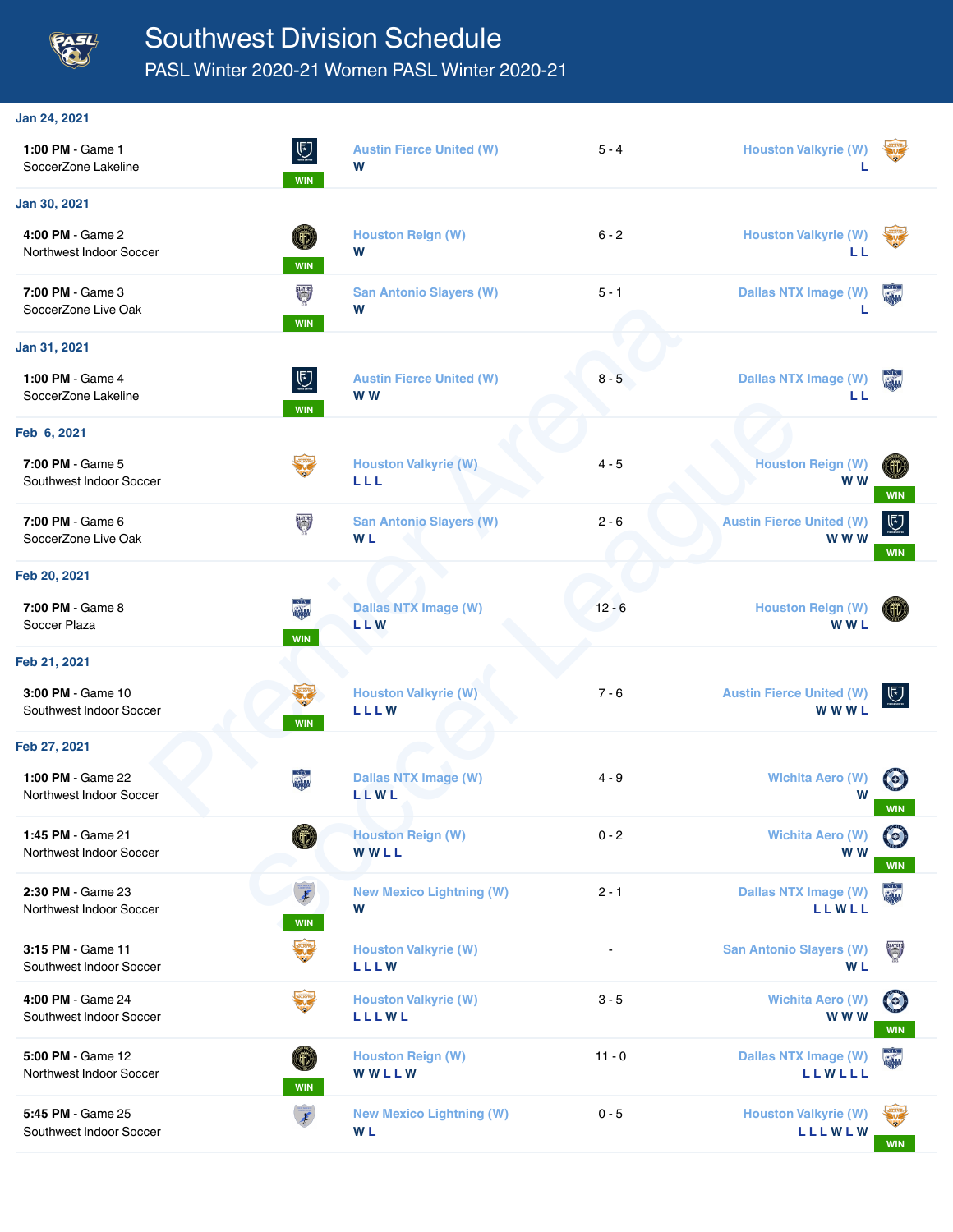

## Southwest Division Schedule

PASL Winter 2020-21 Women PASL Winter 2020-21

| Jan 24, 2021                                 |                                       |                                                  |          |                                                |                               |
|----------------------------------------------|---------------------------------------|--------------------------------------------------|----------|------------------------------------------------|-------------------------------|
| 1:00 PM - Game 1<br>SoccerZone Lakeline      | $\overline{\mathbb{C}}$<br><b>WIN</b> | <b>Austin Fierce United (W)</b><br>W             | $5 - 4$  | <b>Houston Valkyrie (W)</b>                    |                               |
| Jan 30, 2021                                 |                                       |                                                  |          |                                                |                               |
| 4:00 PM - Game 2<br>Northwest Indoor Soccer  | Œ<br><b>WIN</b>                       | <b>Houston Reign (W)</b><br>W                    | $6 - 2$  | <b>Houston Valkyrie (W)</b><br>ШL              |                               |
| 7:00 PM - Game 3<br>SoccerZone Live Oak      | U<br>WIN                              | <b>San Antonio Slayers (W)</b><br>W              | $5 - 1$  | <b>Dallas NTX Image (W)</b>                    |                               |
| Jan 31, 2021                                 |                                       |                                                  |          |                                                |                               |
| 1:00 PM - Game 4<br>SoccerZone Lakeline      | $\overline{\mathbb{C}}$<br><b>WIN</b> | <b>Austin Fierce United (W)</b><br>W W           | $8 - 5$  | <b>Dallas NTX Image (W)</b><br>LL              |                               |
| Feb 6, 2021                                  |                                       |                                                  |          |                                                |                               |
| 7:00 PM - Game 5<br>Southwest Indoor Soccer  |                                       | <b>Houston Valkyrie (W)</b><br>LLL               | $4 - 5$  | <b>Houston Reign (W)</b><br><b>WW</b>          | (III)<br>WIN                  |
| 7:00 PM - Game 6<br>SoccerZone Live Oak      | <b>SLATERS</b>                        | <b>San Antonio Slayers (W)</b><br>W <sub>L</sub> | $2 - 6$  | <b>Austin Fierce United (W)</b><br>w w w       | $5$<br><b>WIN</b>             |
| Feb 20, 2021                                 |                                       |                                                  |          |                                                |                               |
| 7:00 PM - Game 8<br>Soccer Plaza             | <b>WIN</b>                            | <b>Dallas NTX Image (W)</b><br><b>LLW</b>        | $12 - 6$ | <b>Houston Reign (W)</b><br><b>WWL</b>         |                               |
| Feb 21, 2021                                 |                                       |                                                  |          |                                                |                               |
| 3:00 PM - Game 10<br>Southwest Indoor Soccer | <b>WIN</b>                            | <b>Houston Valkyrie (W)</b><br><b>LLLW</b>       | $7 - 6$  | <b>Austin Fierce United (W)</b><br><b>WWWL</b> | $\overline{\mathbb{C}}$       |
| Feb 27, 2021                                 |                                       |                                                  |          |                                                |                               |
| 1:00 PM - Game 22<br>Northwest Indoor Soccer |                                       | <b>Dallas NTX Image (W)</b><br><b>LLWL</b>       | 4 - 9    | <b>Wichita Aero (W)</b><br>W                   | <b>WIN</b>                    |
| 1:45 PM - Game 21<br>Northwest Indoor Soccer |                                       | <b>Houston Reign (W)</b><br>WWLL                 | $0 - 2$  | <b>Wichita Aero (W)</b><br>W W                 | $\bullet$<br><b>WIN</b>       |
| 2:30 PM - Game 23<br>Northwest Indoor Soccer | $\overline{\mathbf{f}}$<br><b>WIN</b> | <b>New Mexico Lightning (W)</b><br>W             | $2 - 1$  | <b>Dallas NTX Image (W)</b><br><b>LLWLL</b>    | 圖                             |
| 3:15 PM - Game 11<br>Southwest Indoor Soccer | $\frac{1}{\sqrt{2}}$                  | <b>Houston Valkyrie (W)</b><br>LLLW              |          | <b>San Antonio Slayers (W)</b><br><b>WL</b>    | <b>SLATERS</b>                |
| 4:00 PM - Game 24<br>Southwest Indoor Soccer | <b>Such</b>                           | <b>Houston Valkyrie (W)</b><br>LLLWL             | $3 - 5$  | <b>Wichita Aero (W)</b><br><b>WWW</b>          | $\left( \circ \right)$<br>WIN |
| 5:00 PM - Game 12<br>Northwest Indoor Soccer | Œ<br><b>WIN</b>                       | <b>Houston Reign (W)</b><br>WWLLW                | $11 - 0$ | <b>Dallas NTX Image (W)</b><br><b>LLWLLL</b>   |                               |
| 5:45 PM - Game 25<br>Southwest Indoor Soccer | $\overline{\boldsymbol{t}}$           | <b>New Mexico Lightning (W)</b><br><b>WL</b>     | $0 - 5$  | <b>Houston Valkyrie (W)</b><br><b>LLLWLW</b>   |                               |

**WIN**